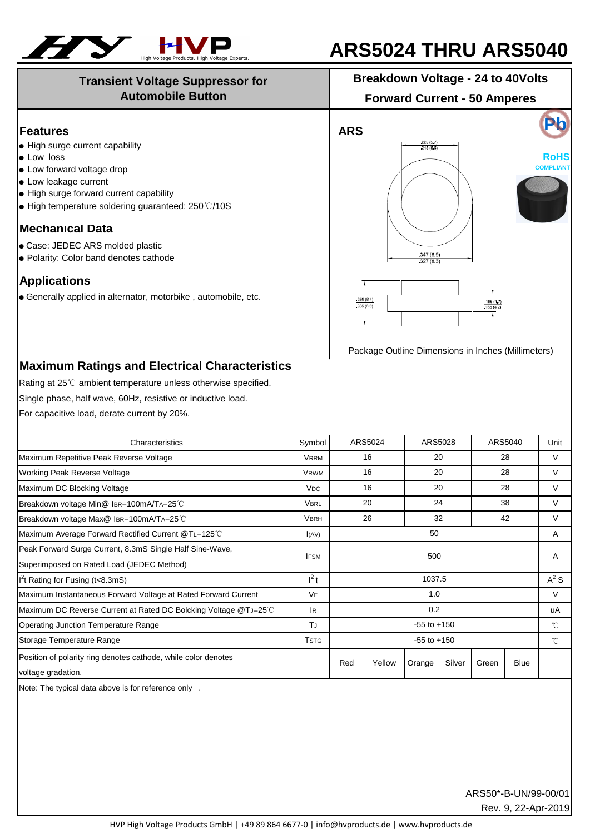

## **ARS5024 THRU ARS5040**

## **Transient Voltage Suppressor for Automobile Button**

**Breakdown Voltage - 24 to 40Volts**

**Forward Current - 50 Amperes**

| <b>Features</b>                                                                                                                                                                                       |                       |                                                           | <b>ARS</b>              |                 |        |          |                   |              |  |
|-------------------------------------------------------------------------------------------------------------------------------------------------------------------------------------------------------|-----------------------|-----------------------------------------------------------|-------------------------|-----------------|--------|----------|-------------------|--------------|--|
| • High surge current capability<br>• Low loss<br>• Low forward voltage drop<br>• Low leakage current<br>• High surge forward current capability<br>• High temperature soldering guaranteed: 250°C/10S |                       | .225(5.7)<br>.215(5.5)<br><b>RoHS</b><br><b>COMPLIANT</b> |                         |                 |        |          |                   |              |  |
| <b>Mechanical Data</b>                                                                                                                                                                                |                       |                                                           |                         |                 |        |          |                   |              |  |
| · Case: JEDEC ARS molded plastic<br>. Polarity: Color band denotes cathode                                                                                                                            |                       |                                                           | .347 (8.9)<br>327 (8.3) |                 |        |          |                   |              |  |
| <b>Applications</b><br>• Generally applied in alternator, motorbike, automobile, etc.                                                                                                                 |                       | 250 (6.4)<br>$\frac{185 (4.7)}{165 (4.2)}$<br>,235(6,0)   |                         |                 |        |          |                   |              |  |
|                                                                                                                                                                                                       |                       | Package Outline Dimensions in Inches (Millimeters)        |                         |                 |        |          |                   |              |  |
| Single phase, half wave, 60Hz, resistive or inductive load.<br>For capacitive load, derate current by 20%.                                                                                            |                       |                                                           |                         |                 |        |          |                   |              |  |
| Characteristics                                                                                                                                                                                       | Symbol                | ARS5024                                                   |                         | ARS5028         |        | ARS5040  |                   | Unit         |  |
| Maximum Repetitive Peak Reverse Voltage                                                                                                                                                               | <b>VRRM</b>           | 16                                                        |                         | 20              |        | 28       |                   | $\vee$       |  |
| Working Peak Reverse Voltage                                                                                                                                                                          | <b>VRWM</b>           | 16<br>16                                                  |                         | 20              |        | 28       |                   | V            |  |
| Maximum DC Blocking Voltage                                                                                                                                                                           | <b>V<sub>DC</sub></b> | 20                                                        |                         | 20<br>24        |        | 28<br>38 |                   | V            |  |
| Breakdown voltage Min@ IBR=100mA/TA=25°C                                                                                                                                                              | <b>VBRL</b>           | 26                                                        |                         | 32              |        | 42       |                   | V<br>V       |  |
| Breakdown voltage Max@ IBR=100mA/TA=25°C<br>Maximum Average Forward Rectified Current @TL=125°C                                                                                                       | <b>VBRH</b><br>I(AV)  |                                                           |                         | 50              |        |          |                   | Α            |  |
| Peak Forward Surge Current, 8.3mS Single Half Sine-Wave,<br>Superimposed on Rated Load (JEDEC Method)                                                                                                 | <b>IFSM</b>           | 500                                                       |                         |                 |        |          |                   | Α            |  |
| $I2t$ Rating for Fusing (t<8.3mS)                                                                                                                                                                     | $l^2t$                | 1037.5                                                    |                         |                 |        |          |                   | $A^2S$       |  |
| Maximum Instantaneous Forward Voltage at Rated Forward Current                                                                                                                                        | <b>VF</b>             | 1.0                                                       |                         |                 |        |          | $\vee$            |              |  |
| Maximum DC Reverse Current at Rated DC Bolcking Voltage @TJ=25°C                                                                                                                                      | lR.                   | 0.2                                                       |                         |                 |        |          |                   | uA           |  |
| Operating Junction Temperature Range                                                                                                                                                                  | TJ                    | $-55$ to $+150$                                           |                         |                 |        |          | $^\circ\!{\rm C}$ |              |  |
| Storage Temperature Range                                                                                                                                                                             | <b>T</b> STG          |                                                           |                         | $-55$ to $+150$ |        |          |                   | $^{\circ}$ C |  |
| Position of polarity ring denotes cathode, while color denotes<br>voltage gradation.                                                                                                                  |                       | Red                                                       | Yellow                  | Orange          | Silver | Green    | <b>Blue</b>       |              |  |
| Note: The typical data above is for reference only .                                                                                                                                                  |                       |                                                           |                         |                 |        |          |                   |              |  |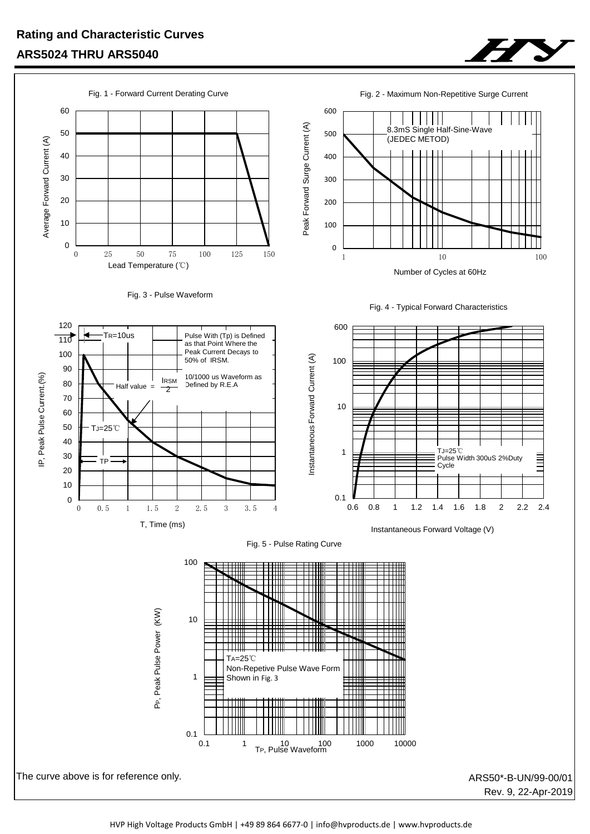